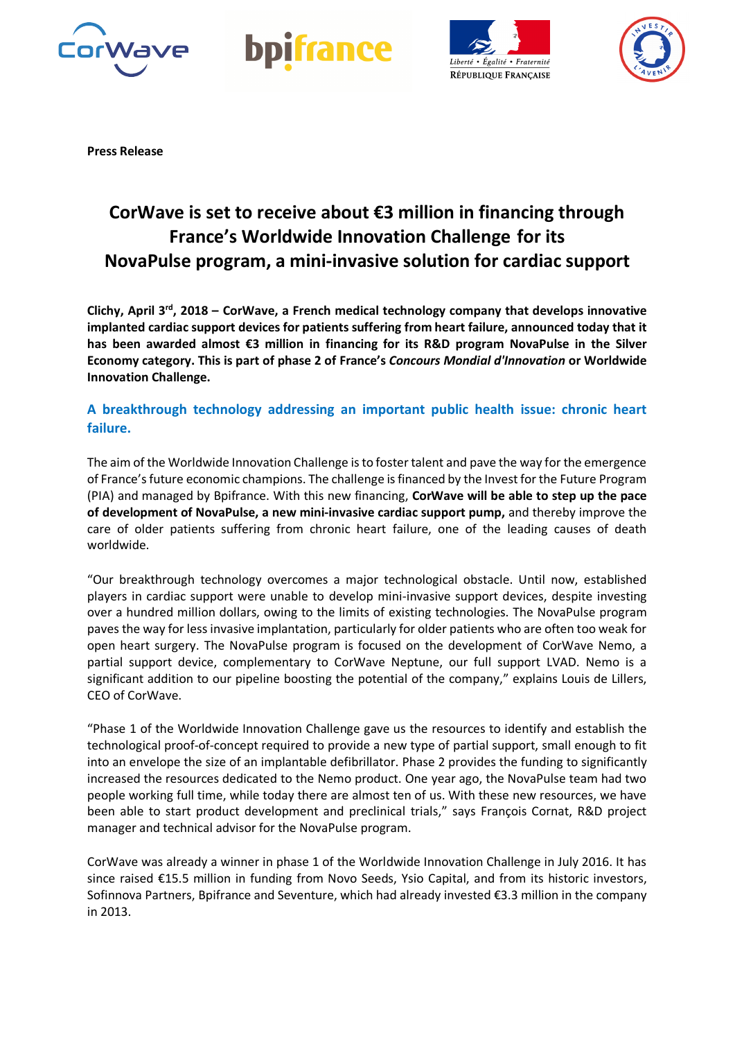







**Press Release**

## **CorWave is set to receive about €3 million in financing through France's Worldwide Innovation Challenge for its NovaPulse program, a mini-invasive solution for cardiac support**

**Clichy, April 3rd, 2018 – CorWave, a French medical technology company that develops innovative implanted cardiac support devices for patients suffering from heart failure, announced today that it has been awarded almost €3 million in financing for its R&D program NovaPulse in the Silver Economy category. This is part of phase 2 of France's** *Concours Mondial d'Innovation* **or Worldwide Innovation Challenge.** 

## **A breakthrough technology addressing an important public health issue: chronic heart failure.**

The aim of the Worldwide Innovation Challenge is to foster talent and pave the way for the emergence of France's future economic champions. The challenge is financed by the Invest for the Future Program (PIA) and managed by Bpifrance. With this new financing, **CorWave will be able to step up the pace of development of NovaPulse, a new mini-invasive cardiac support pump,** and thereby improve the care of older patients suffering from chronic heart failure, one of the leading causes of death worldwide.

"Our breakthrough technology overcomes a major technological obstacle. Until now, established players in cardiac support were unable to develop mini-invasive support devices, despite investing over a hundred million dollars, owing to the limits of existing technologies. The NovaPulse program paves the way for less invasive implantation, particularly for older patients who are often too weak for open heart surgery. The NovaPulse program is focused on the development of CorWave Nemo, a partial support device, complementary to CorWave Neptune, our full support LVAD. Nemo is a significant addition to our pipeline boosting the potential of the company," explains Louis de Lillers, CEO of CorWave.

"Phase 1 of the Worldwide Innovation Challenge gave us the resources to identify and establish the technological proof-of-concept required to provide a new type of partial support, small enough to fit into an envelope the size of an implantable defibrillator. Phase 2 provides the funding to significantly increased the resources dedicated to the Nemo product. One year ago, the NovaPulse team had two people working full time, while today there are almost ten of us. With these new resources, we have been able to start product development and preclinical trials," says François Cornat, R&D project manager and technical advisor for the NovaPulse program.

CorWave was already a winner in phase 1 of the Worldwide Innovation Challenge in July 2016. It has since raised €15.5 million in funding from Novo Seeds, Ysio Capital, and from its historic investors, Sofinnova Partners, Bpifrance and Seventure, which had already invested €3.3 million in the company in 2013.